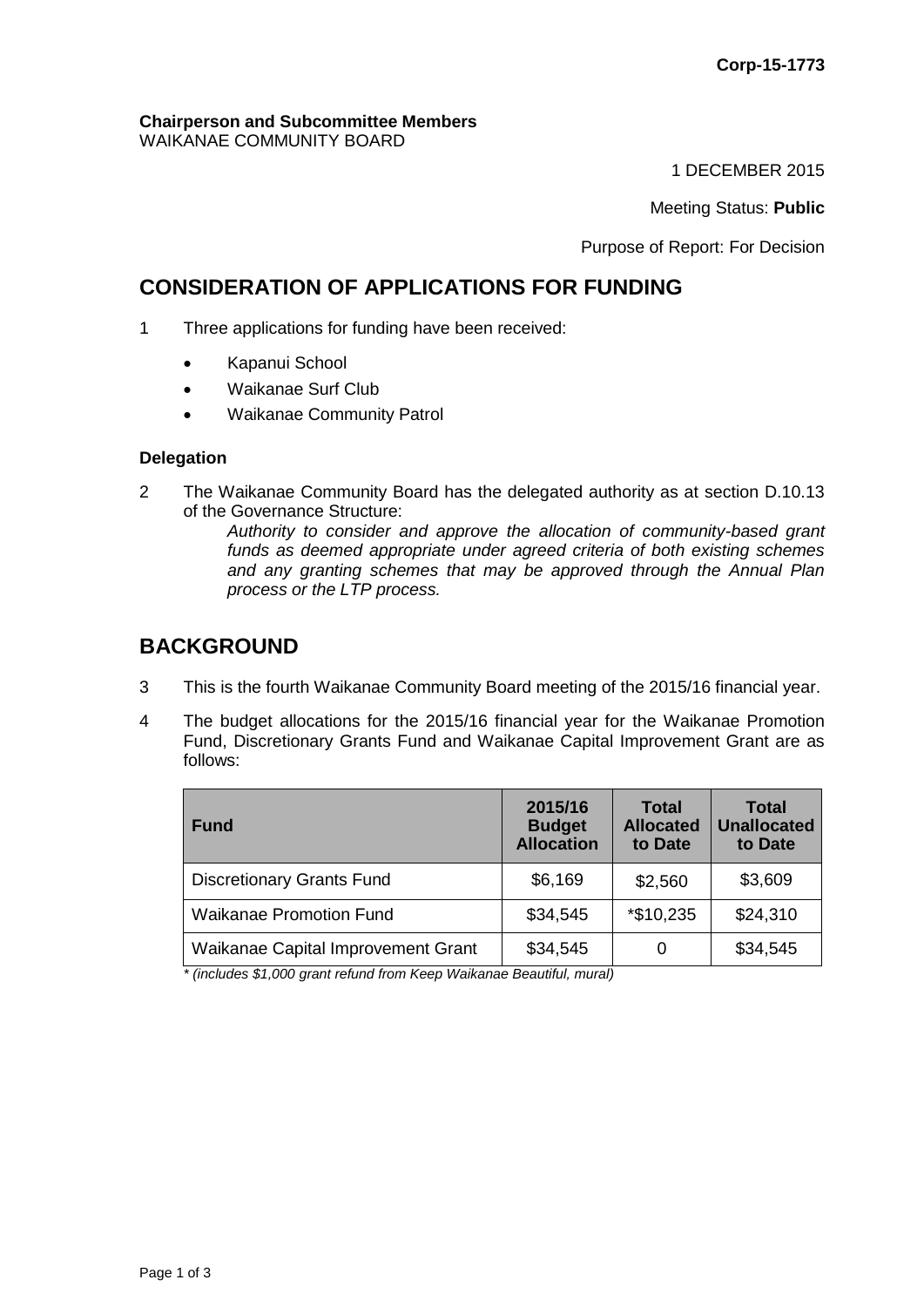#### **Chairperson and Subcommittee Members** WAIKANAE COMMUNITY BOARD

1 DECEMBER 2015

Meeting Status: **Public**

Purpose of Report: For Decision

# **CONSIDERATION OF APPLICATIONS FOR FUNDING**

- 1 Three applications for funding have been received:
	- Kapanui School
	- Waikanae Surf Club
	- Waikanae Community Patrol

#### **Delegation**

2 The Waikanae Community Board has the delegated authority as at section D.10.13 of the Governance Structure:

*Authority to consider and approve the allocation of community-based grant funds as deemed appropriate under agreed criteria of both existing schemes and any granting schemes that may be approved through the Annual Plan process or the LTP process.* 

# **BACKGROUND**

- 3 This is the fourth Waikanae Community Board meeting of the 2015/16 financial year.
- 4 The budget allocations for the 2015/16 financial year for the Waikanae Promotion Fund, Discretionary Grants Fund and Waikanae Capital Improvement Grant are as follows:

| <b>Fund</b>                        | 2015/16<br><b>Budget</b><br><b>Allocation</b> | <b>Total</b><br><b>Allocated</b><br>to Date | <b>Total</b><br><b>Unallocated</b><br>to Date |
|------------------------------------|-----------------------------------------------|---------------------------------------------|-----------------------------------------------|
| <b>Discretionary Grants Fund</b>   | \$6,169                                       | \$2,560                                     | \$3,609                                       |
| <b>Waikanae Promotion Fund</b>     | \$34,545                                      | *\$10,235                                   | \$24,310                                      |
| Waikanae Capital Improvement Grant | \$34,545                                      | 0                                           | \$34,545                                      |

*\* (includes \$1,000 grant refund from Keep Waikanae Beautiful, mural)*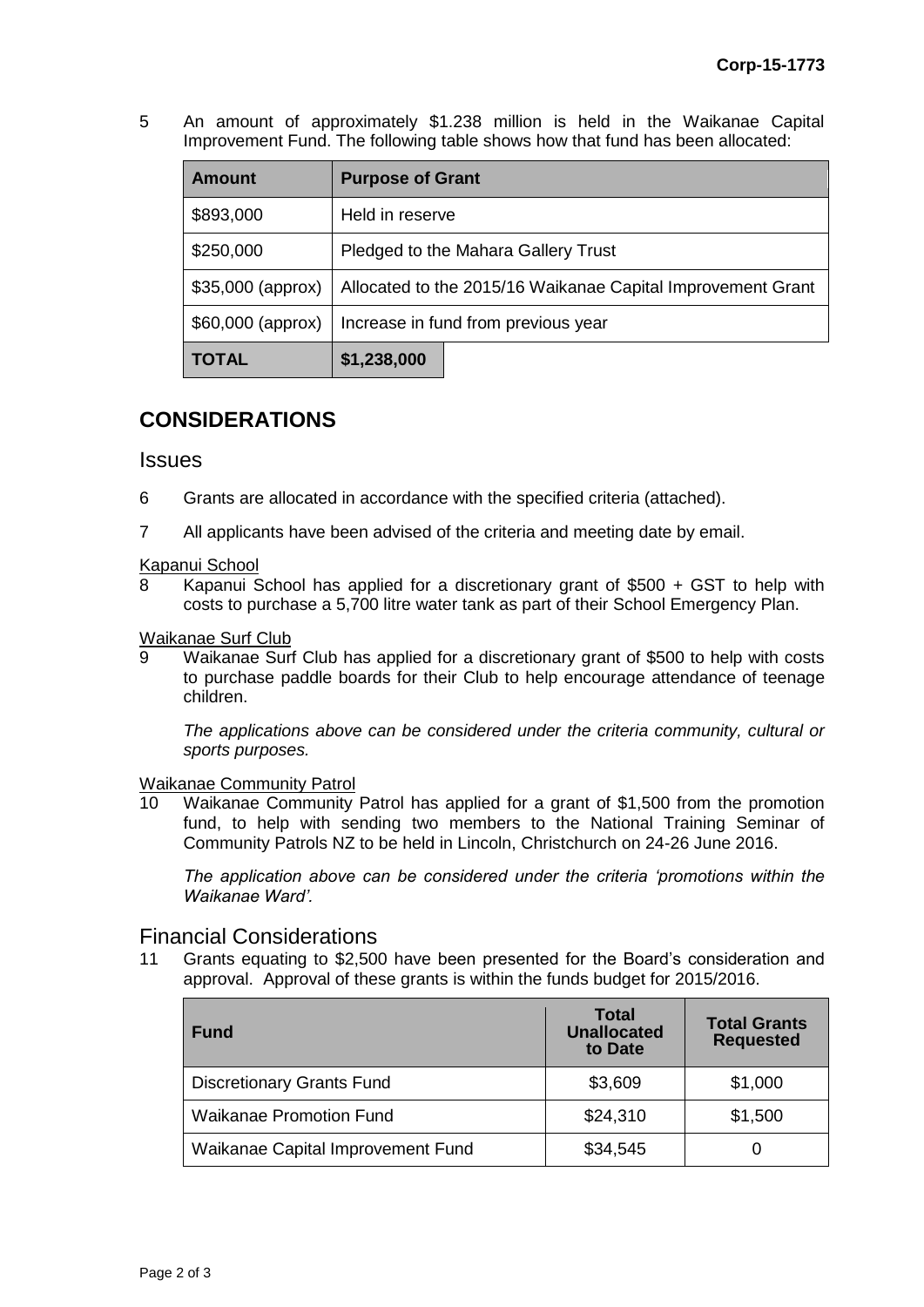5 An amount of approximately \$1.238 million is held in the Waikanae Capital Improvement Fund. The following table shows how that fund has been allocated:

| <b>Amount</b>      | <b>Purpose of Grant</b>                                     |  |  |
|--------------------|-------------------------------------------------------------|--|--|
| \$893,000          | Held in reserve                                             |  |  |
| \$250,000          | Pledged to the Mahara Gallery Trust                         |  |  |
| $$35,000$ (approx) | Allocated to the 2015/16 Waikanae Capital Improvement Grant |  |  |
| $$60,000$ (approx) | Increase in fund from previous year                         |  |  |
| TOTAL              | \$1,238,000                                                 |  |  |

# **CONSIDERATIONS**

### **Issues**

- 6 Grants are allocated in accordance with the specified criteria (attached).
- 7 All applicants have been advised of the criteria and meeting date by email.

#### Kapanui School

8 Kapanui School has applied for a discretionary grant of \$500 + GST to help with costs to purchase a 5,700 litre water tank as part of their School Emergency Plan.

# Waikanae Surf Club<br>9 Maikanae Surf

Waikanae Surf Club has applied for a discretionary grant of \$500 to help with costs to purchase paddle boards for their Club to help encourage attendance of teenage children.

*The applications above can be considered under the criteria community, cultural or sports purposes.*

#### Waikanae Community Patrol

10 Waikanae Community Patrol has applied for a grant of \$1,500 from the promotion fund, to help with sending two members to the National Training Seminar of Community Patrols NZ to be held in Lincoln, Christchurch on 24-26 June 2016.

*The application above can be considered under the criteria 'promotions within the Waikanae Ward'.*

### Financial Considerations

11 Grants equating to \$2,500 have been presented for the Board's consideration and approval. Approval of these grants is within the funds budget for 2015/2016.

| <b>Fund</b>                       | <b>Total</b><br><b>Unallocated</b><br>to Date | <b>Total Grants</b><br><b>Requested</b> |
|-----------------------------------|-----------------------------------------------|-----------------------------------------|
| <b>Discretionary Grants Fund</b>  | \$3,609                                       | \$1,000                                 |
| <b>Waikanae Promotion Fund</b>    | \$24,310                                      | \$1,500                                 |
| Waikanae Capital Improvement Fund | \$34,545                                      |                                         |